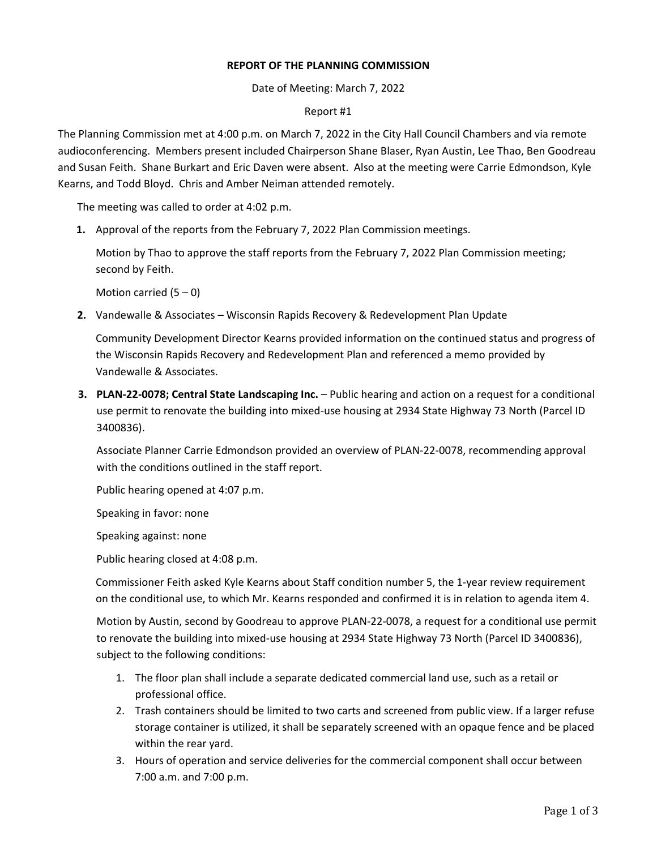## **REPORT OF THE PLANNING COMMISSION**

Date of Meeting: March 7, 2022

## Report #1

The Planning Commission met at 4:00 p.m. on March 7, 2022 in the City Hall Council Chambers and via remote audioconferencing. Members present included Chairperson Shane Blaser, Ryan Austin, Lee Thao, Ben Goodreau and Susan Feith. Shane Burkart and Eric Daven were absent. Also at the meeting were Carrie Edmondson, Kyle Kearns, and Todd Bloyd. Chris and Amber Neiman attended remotely.

The meeting was called to order at 4:02 p.m.

**1.** Approval of the reports from the February 7, 2022 Plan Commission meetings.

Motion by Thao to approve the staff reports from the February 7, 2022 Plan Commission meeting; second by Feith.

Motion carried  $(5 - 0)$ 

**2.** Vandewalle & Associates – Wisconsin Rapids Recovery & Redevelopment Plan Update

Community Development Director Kearns provided information on the continued status and progress of the Wisconsin Rapids Recovery and Redevelopment Plan and referenced a memo provided by Vandewalle & Associates.

**3. PLAN-22-0078; Central State Landscaping Inc.** – Public hearing and action on a request for a conditional use permit to renovate the building into mixed-use housing at 2934 State Highway 73 North (Parcel ID 3400836).

Associate Planner Carrie Edmondson provided an overview of PLAN-22-0078, recommending approval with the conditions outlined in the staff report.

Public hearing opened at 4:07 p.m.

Speaking in favor: none

Speaking against: none

Public hearing closed at 4:08 p.m.

Commissioner Feith asked Kyle Kearns about Staff condition number 5, the 1-year review requirement on the conditional use, to which Mr. Kearns responded and confirmed it is in relation to agenda item 4.

Motion by Austin, second by Goodreau to approve PLAN-22-0078, a request for a conditional use permit to renovate the building into mixed-use housing at 2934 State Highway 73 North (Parcel ID 3400836), subject to the following conditions:

- 1. The floor plan shall include a separate dedicated commercial land use, such as a retail or professional office.
- 2. Trash containers should be limited to two carts and screened from public view. If a larger refuse storage container is utilized, it shall be separately screened with an opaque fence and be placed within the rear yard.
- 3. Hours of operation and service deliveries for the commercial component shall occur between 7:00 a.m. and 7:00 p.m.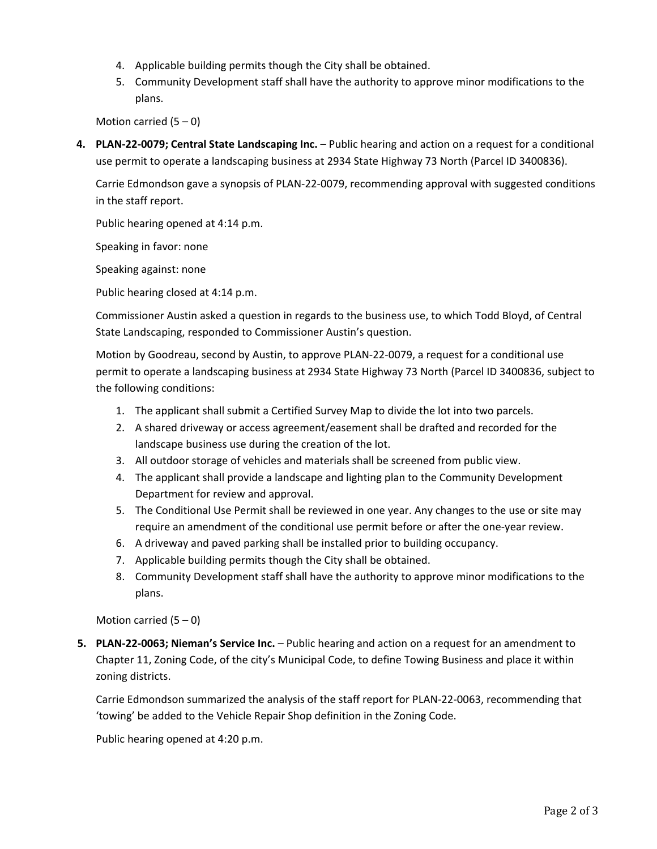- 4. Applicable building permits though the City shall be obtained.
- 5. Community Development staff shall have the authority to approve minor modifications to the plans.

Motion carried  $(5 - 0)$ 

**4. PLAN-22-0079; Central State Landscaping Inc.** – Public hearing and action on a request for a conditional use permit to operate a landscaping business at 2934 State Highway 73 North (Parcel ID 3400836).

Carrie Edmondson gave a synopsis of PLAN-22-0079, recommending approval with suggested conditions in the staff report.

Public hearing opened at 4:14 p.m.

Speaking in favor: none

Speaking against: none

Public hearing closed at 4:14 p.m.

Commissioner Austin asked a question in regards to the business use, to which Todd Bloyd, of Central State Landscaping, responded to Commissioner Austin's question.

Motion by Goodreau, second by Austin, to approve PLAN-22-0079, a request for a conditional use permit to operate a landscaping business at 2934 State Highway 73 North (Parcel ID 3400836, subject to the following conditions:

- 1. The applicant shall submit a Certified Survey Map to divide the lot into two parcels.
- 2. A shared driveway or access agreement/easement shall be drafted and recorded for the landscape business use during the creation of the lot.
- 3. All outdoor storage of vehicles and materials shall be screened from public view.
- 4. The applicant shall provide a landscape and lighting plan to the Community Development Department for review and approval.
- 5. The Conditional Use Permit shall be reviewed in one year. Any changes to the use or site may require an amendment of the conditional use permit before or after the one-year review.
- 6. A driveway and paved parking shall be installed prior to building occupancy.
- 7. Applicable building permits though the City shall be obtained.
- 8. Community Development staff shall have the authority to approve minor modifications to the plans.

Motion carried  $(5 - 0)$ 

**5. PLAN-22-0063; Nieman's Service Inc.** – Public hearing and action on a request for an amendment to Chapter 11, Zoning Code, of the city's Municipal Code, to define Towing Business and place it within zoning districts.

Carrie Edmondson summarized the analysis of the staff report for PLAN-22-0063, recommending that 'towing' be added to the Vehicle Repair Shop definition in the Zoning Code.

Public hearing opened at 4:20 p.m.